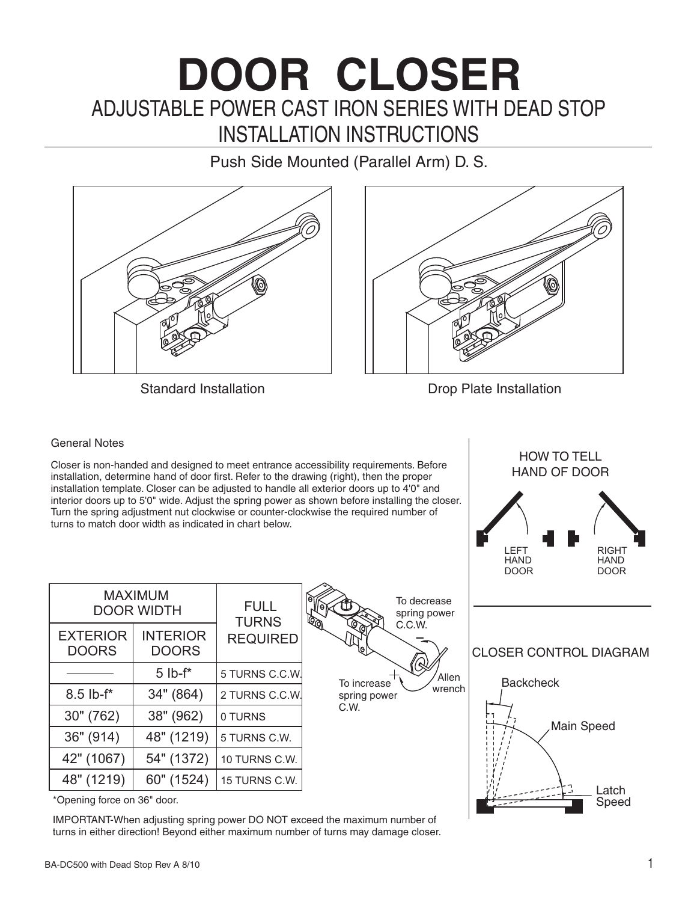# ADJUSTABLE POWER CAST IRON SERIES WITH DEAD STOP **DOOR CLOSER** INSTALLATION INSTRUCTIONS

Push Side Mounted (Parallel Arm) D. S.





Standard Installation **Drop Plate Installation** 

HOW TO TELL HAND OF DOOR

#### General Notes

Closer is non-handed and designed to meet entrance accessibility requirements. Before installation, determine hand of door first. Refer to the drawing (right), then the proper installation template. Closer can be adjusted to handle all exterior doors up to 4'0" and interior doors up to 5'0" wide. Adjust the spring power as shown before installing the closer. Turn the spring adjustment nut clockwise or counter-clockwise the required number of turns to match door width as indicated in chart below.

|                                     |                                 |                             |                                                               | LEFT<br><b>HAND</b><br><b>DOOR</b> | <b>RIGHT</b><br><b>HAND</b><br><b>DOOR</b> |
|-------------------------------------|---------------------------------|-----------------------------|---------------------------------------------------------------|------------------------------------|--------------------------------------------|
| <b>MAXIMUM</b><br><b>DOOR WIDTH</b> |                                 | <b>FULL</b><br><b>TURNS</b> | To decrease<br>۱Θ,<br>spring power<br>$\overline{\mathbb{Q}}$ |                                    |                                            |
| <b>EXTERIOR</b><br><b>DOORS</b>     | <b>INTERIOR</b><br><b>DOORS</b> | <b>REQUIRED</b>             | $\mathcal{O}$<br>C.C.W.<br>[el                                | <b>CLOSER CONTROL DIAGRAM</b>      |                                            |
|                                     | $5$ lb- $f^*$                   | 5 TURNS C.C.W.              | ⊛<br>Allen<br>To increase                                     | <b>Backcheck</b>                   |                                            |
| $8.5$ lb- $f^*$                     | 34" (864)                       | 2 TURNS C.C.W.              | wrench<br>spring power                                        |                                    |                                            |
| 30''(762)                           | 38" (962)                       | 0 TURNS                     | C.W.                                                          |                                    | Main Speed                                 |
| 36" (914)                           | 48" (1219)                      | 5 TURNS C.W.                |                                                               |                                    |                                            |
| 42" (1067)                          | 54" (1372)                      | 10 TURNS C.W.               |                                                               |                                    |                                            |
| 48" (1219)                          | 60" (1524)                      | 15 TURNS C.W.               |                                                               |                                    | Latch                                      |
|                                     |                                 |                             |                                                               |                                    |                                            |

\*Opening force on 36" door.

IMPORTANT-When adjusting spring power DO NOT exceed the maximum number of turns in either direction! Beyond either maximum number of turns may damage closer. Speed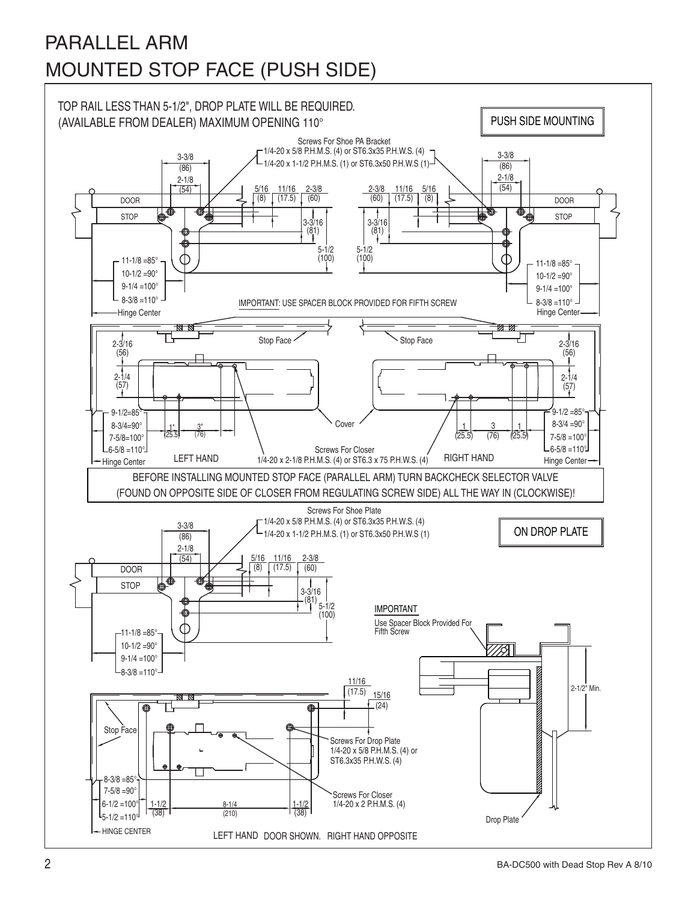## PARALLEL ARM MOUNTED STOP FACE (PUSH SIDE)